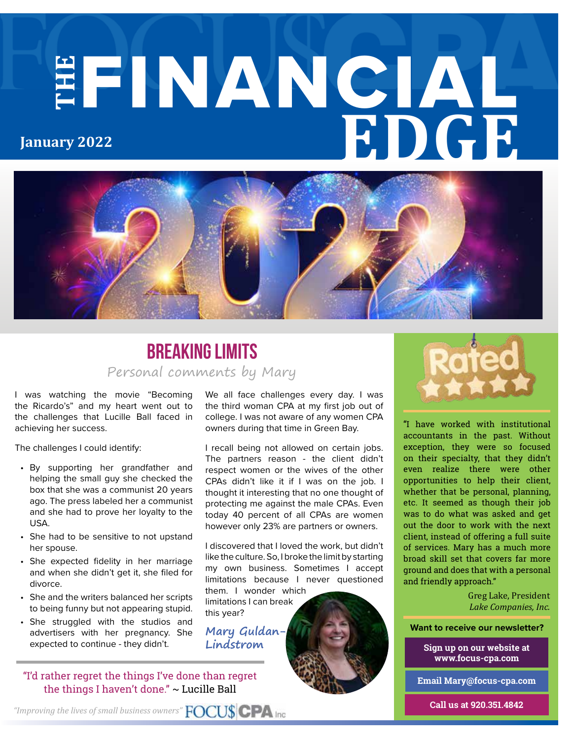# **THE** FINANCIAL **EDGE January 2022**



#### Personal comments by Mary **Breaking limits**

I was watching the movie "Becoming the Ricardo's" and my heart went out to the challenges that Lucille Ball faced in achieving her success.

The challenges I could identify:

- By supporting her grandfather and helping the small guy she checked the box that she was a communist 20 years ago. The press labeled her a communist and she had to prove her loyalty to the USA.
- She had to be sensitive to not upstand her spouse.
- She expected fidelity in her marriage and when she didn't get it, she filed for divorce.
- She and the writers balanced her scripts to being funny but not appearing stupid.
- She struggled with the studios and advertisers with her pregnancy. She expected to continue - they didn't.

"I'd rather regret the things I've done than regret the things I haven't done." ~ Lucille Ball

We all face challenges every day. I was the third woman CPA at my first job out of college. I was not aware of any women CPA owners during that time in Green Bay.

I recall being not allowed on certain jobs. The partners reason - the client didn't respect women or the wives of the other CPAs didn't like it if I was on the job. I thought it interesting that no one thought of protecting me against the male CPAs. Even today 40 percent of all CPAs are women however only 23% are partners or owners.

I discovered that I loved the work, but didn't like the culture. So, I broke the limit by starting my own business. Sometimes I accept limitations because I never questioned them. I wonder which

limitations I can break this year?

**Lindstrom**



"I have worked with institutional accountants in the past. Without exception, they were so focused on their specialty, that they didn't even realize there were other opportunities to help their client, whether that be personal, planning, etc. It seemed as though their job was to do what was asked and get out the door to work with the next client, instead of offering a full suite of services. Mary has a much more broad skill set that covers far more ground and does that with a personal and friendly approach."

> Greg Lake, President *Lake Companies, Inc.*

Mary Guldan-**Mary Guldan- <b>Want to receive our newsletter**?

**Sign up on our website at www.focus-cpa.com**

**Email Mary@focus-cpa.com**

**Call us at 920.351.4842**

*"Improving the lives of small business owners"*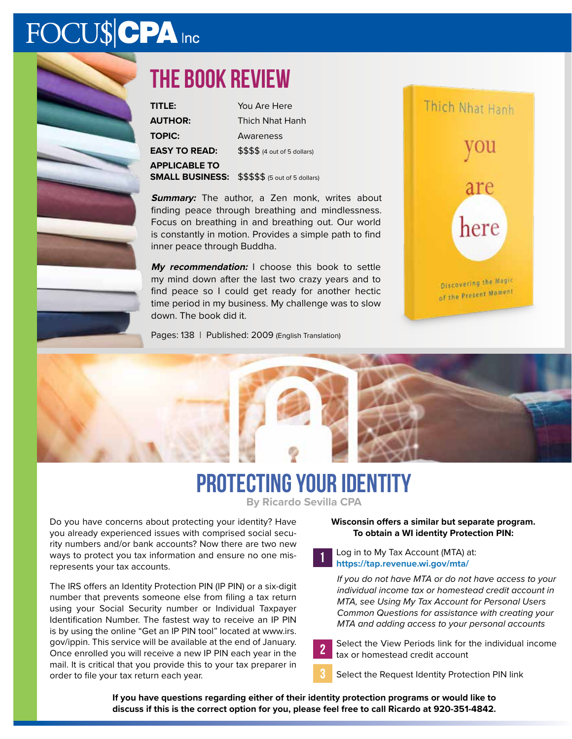# FOCU\$CPA Inc



# **The book review**

| TITLE:                 | You Are Here                    |
|------------------------|---------------------------------|
| <b>AUTHOR:</b>         | <b>Thich Nhat Hanh</b>          |
| <b>TOPIC:</b>          | Awareness                       |
| <b>EASY TO READ:</b>   | \$\$\$\$ (4 out of 5 dollars)   |
| <b>APPLICABLE TO</b>   |                                 |
| <b>SMALL BUSINESS:</b> | \$\$\$\$\$ (5 out of 5 dollars) |

**Summary:** The author, a Zen monk, writes about finding peace through breathing and mindlessness. Focus on breathing in and breathing out. Our world is constantly in motion. Provides a simple path to find inner peace through Buddha.

**My recommendation:** I choose this book to settle my mind down after the last two crazy years and to find peace so I could get ready for another hectic time period in my business. My challenge was to slow down. The book did it.

Pages: 138 | Published: 2009 (English Translation)







Do you have concerns about protecting your identity? Have you already experienced issues with comprised social security numbers and/or bank accounts? Now there are two new ways to protect you tax information and ensure no one misrepresents your tax accounts.

The IRS offers an Identity Protection PIN (IP PIN) or a six-digit number that prevents someone else from filing a tax return using your Social Security number or Individual Taxpayer Identification Number. The fastest way to receive an IP PIN is by using the online "Get an IP PIN tool" located at www.irs. gov/ippin. This service will be available at the end of January. Once enrolled you will receive a new IP PIN each year in the mail. It is critical that you provide this to your tax preparer in order to file your tax return each year.

#### **Wisconsin offers a similar but separate program. To obtain a WI identity Protection PIN:**

Log in to My Tax Account (MTA) at: **https://tap.revenue.wi.gov/mta/**

*If you do not have MTA or do not have access to your individual income tax or homestead credit account in MTA, see Using My Tax Account for Personal Users Common Questions for assistance with creating your MTA and adding access to your personal accounts*



Select the Request Identity Protection PIN link

**If you have questions regarding either of their identity protection programs or would like to discuss if this is the correct option for you, please feel free to call Ricardo at 920-351-4842.**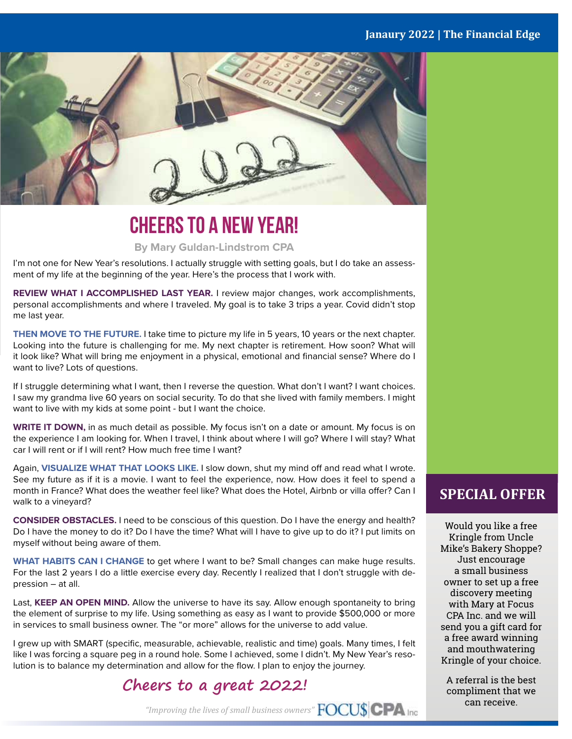

### **Cheers to a New Year!**

#### **By Mary Guldan-Lindstrom CPA**

I'm not one for New Year's resolutions. I actually struggle with setting goals, but I do take an assessment of my life at the beginning of the year. Here's the process that I work with.

**REVIEW WHAT I ACCOMPLISHED LAST YEAR.** I review major changes, work accomplishments, personal accomplishments and where I traveled. My goal is to take 3 trips a year. Covid didn't stop me last year.

**THEN MOVE TO THE FUTURE.** I take time to picture my life in 5 years, 10 years or the next chapter. Looking into the future is challenging for me. My next chapter is retirement. How soon? What will it look like? What will bring me enjoyment in a physical, emotional and financial sense? Where do I want to live? Lots of questions.

If I struggle determining what I want, then I reverse the question. What don't I want? I want choices. I saw my grandma live 60 years on social security. To do that she lived with family members. I might want to live with my kids at some point - but I want the choice.

**WRITE IT DOWN,** in as much detail as possible. My focus isn't on a date or amount. My focus is on the experience I am looking for. When I travel, I think about where I will go? Where I will stay? What car I will rent or if I will rent? How much free time I want?

Again, **VISUALIZE WHAT THAT LOOKS LIKE.** I slow down, shut my mind off and read what I wrote. See my future as if it is a movie. I want to feel the experience, now. How does it feel to spend a month in France? What does the weather feel like? What does the Hotel, Airbnb or villa offer? Can I walk to a vineyard?

**CONSIDER OBSTACLES.** I need to be conscious of this question. Do I have the energy and health? Do I have the money to do it? Do I have the time? What will I have to give up to do it? I put limits on myself without being aware of them.

**WHAT HABITS CAN I CHANGE** to get where I want to be? Small changes can make huge results. For the last 2 years I do a little exercise every day. Recently I realized that I don't struggle with depression – at all.

Last, **KEEP AN OPEN MIND.** Allow the universe to have its say. Allow enough spontaneity to bring the element of surprise to my life. Using something as easy as I want to provide \$500,000 or more in services to small business owner. The "or more" allows for the universe to add value.

I grew up with SMART (specific, measurable, achievable, realistic and time) goals. Many times, I felt like I was forcing a square peg in a round hole. Some I achieved, some I didn't. My New Year's resolution is to balance my determination and allow for the flow. I plan to enjoy the journey.

#### **Cheers to a great 2022!**

**SPECIAL OFFER**

Would you like a free Kringle from Uncle Mike's Bakery Shoppe? Just encourage a small business owner to set up a free discovery meeting with Mary at Focus CPA Inc. and we will send you a gift card for a free award winning and mouthwatering Kringle of your choice.

A referral is the best compliment that we can receive.

*"Improving the lives of small business owners"*